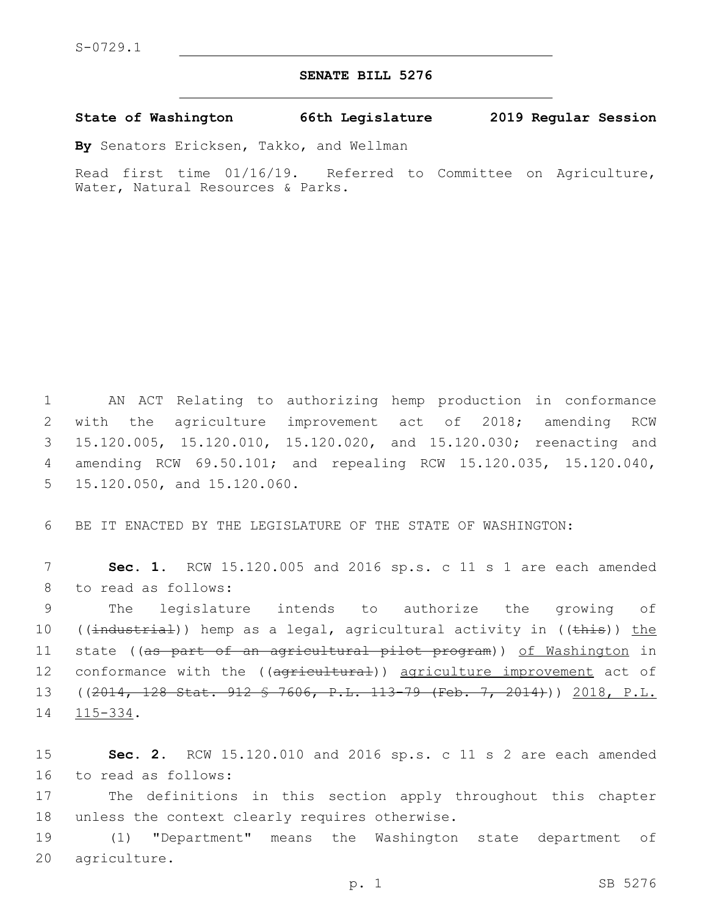## **SENATE BILL 5276**

**State of Washington 66th Legislature 2019 Regular Session**

**By** Senators Ericksen, Takko, and Wellman

Read first time 01/16/19. Referred to Committee on Agriculture, Water, Natural Resources & Parks.

 AN ACT Relating to authorizing hemp production in conformance with the agriculture improvement act of 2018; amending RCW 15.120.005, 15.120.010, 15.120.020, and 15.120.030; reenacting and amending RCW 69.50.101; and repealing RCW 15.120.035, 15.120.040, 5 15.120.050, and 15.120.060.

6 BE IT ENACTED BY THE LEGISLATURE OF THE STATE OF WASHINGTON:

7 **Sec. 1.** RCW 15.120.005 and 2016 sp.s. c 11 s 1 are each amended 8 to read as follows:

9 The legislature intends to authorize the growing of 10 ((industrial)) hemp as a legal, agricultural activity in ((this)) the 11 state ((<del>as part of an agricultural pilot program</del>)) <u>of Washington</u> in 12 conformance with the ((agricultural)) agriculture improvement act of 13 ((2014, 128 Stat. 912 § 7606, P.L. 113-79 (Feb. 7, 2014))) 2018, P.L. 14 115-334.

15 **Sec. 2.** RCW 15.120.010 and 2016 sp.s. c 11 s 2 are each amended 16 to read as follows:

17 The definitions in this section apply throughout this chapter 18 unless the context clearly requires otherwise.

19 (1) "Department" means the Washington state department of 20 agriculture.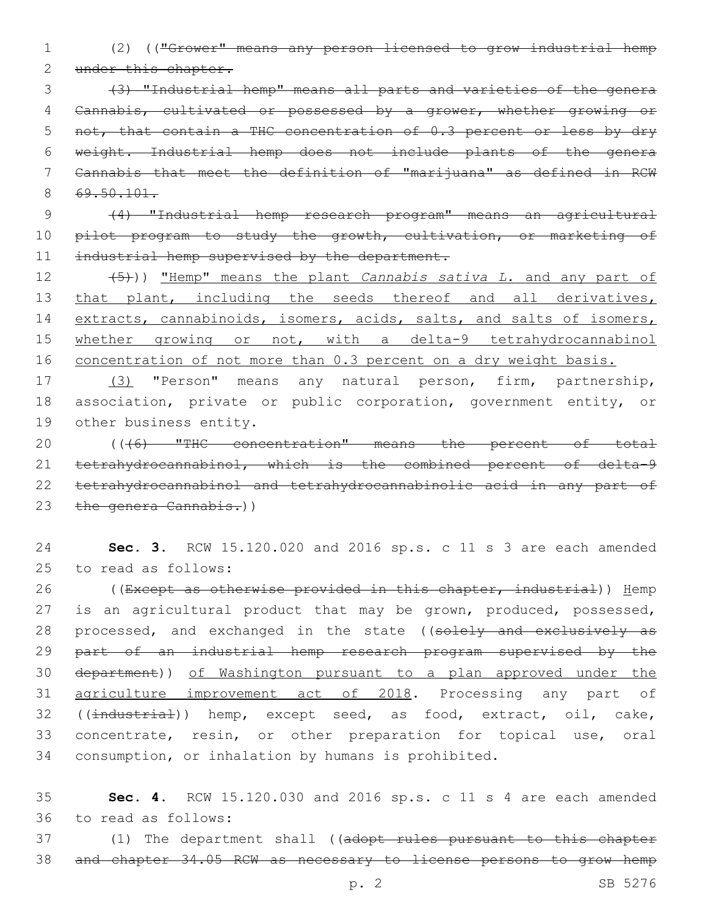1 (2) (("Grower" means any person licensed to grow industrial hemp 2 under this chapter.

 (3) "Industrial hemp" means all parts and varieties of the genera Cannabis, cultivated or possessed by a grower, whether growing or 5 not, that contain a THC concentration of 0.3 percent or less by dry weight. Industrial hemp does not include plants of the genera Cannabis that meet the definition of "marijuana" as defined in RCW 8 69.50.101.

9 (4) "Industrial hemp research program" means an agricultural 10 pilot program to study the growth, cultivation, or marketing of 11 industrial hemp supervised by the department.

12 (5))) "Hemp" means the plant *Cannabis sativa L.* and any part of 13 that plant, including the seeds thereof and all derivatives, 14 extracts, cannabinoids, isomers, acids, salts, and salts of isomers, 15 whether growing or not, with a delta-9 tetrahydrocannabinol 16 concentration of not more than 0.3 percent on a dry weight basis.

17 (3) "Person" means any natural person, firm, partnership, 18 association, private or public corporation, government entity, or 19 other business entity.

20 (((6) "THC concentration" means the percent of total 21 tetrahydrocannabinol, which is the combined percent of delta-9 22 tetrahydrocannabinol and tetrahydrocannabinolic acid in any part of 23 the genera Cannabis.))

24 **Sec. 3.** RCW 15.120.020 and 2016 sp.s. c 11 s 3 are each amended 25 to read as follows:

26 ((Except as otherwise provided in this chapter, industrial)) Hemp 27 is an agricultural product that may be grown, produced, possessed, 28 processed, and exchanged in the state ((solely and exclusively as 29 part of an industrial hemp research program supervised by the 30 department)) of Washington pursuant to a plan approved under the 31 agriculture improvement act of 2018. Processing any part of 32 ((industrial)) hemp, except seed, as food, extract, oil, cake, 33 concentrate, resin, or other preparation for topical use, oral 34 consumption, or inhalation by humans is prohibited.

35 **Sec. 4.** RCW 15.120.030 and 2016 sp.s. c 11 s 4 are each amended to read as follows:36

37 (1) The department shall ((adopt rules pursuant to this chapter 38 and chapter 34.05 RCW as necessary to license persons to grow hemp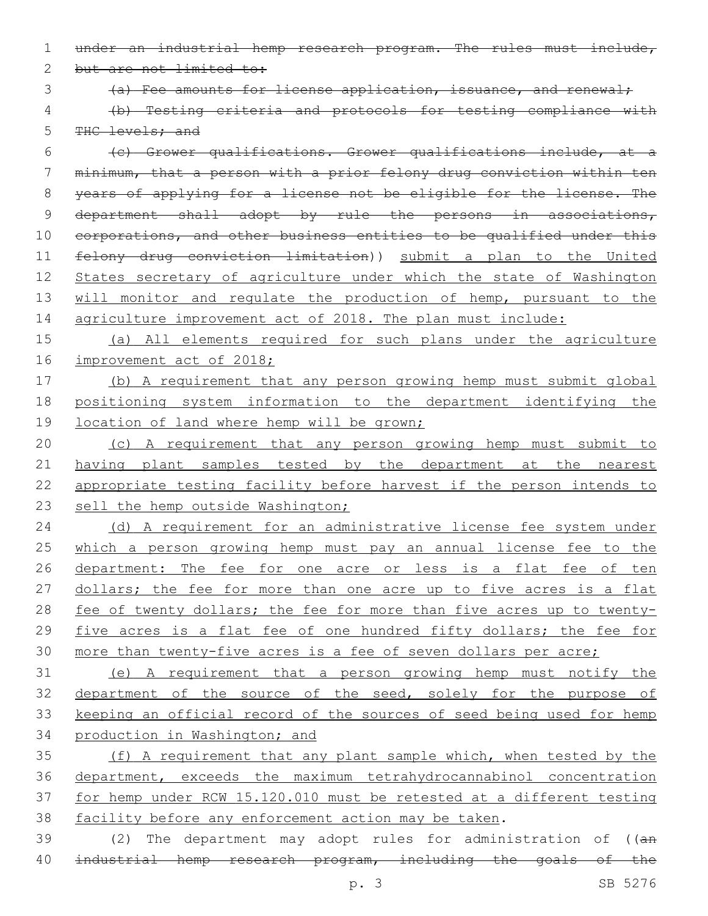1 under an industrial hemp research program. The rules must include,

2 but are not limited to:

3 (a) Fee amounts for license application, issuance, and renewal;

4 (b) Testing criteria and protocols for testing compliance with

5 THC levels; and

6 (c) Grower qualifications. Grower qualifications include, at a 7 minimum, that a person with a prior felony drug conviction within ten 8 years of applying for a license not be eligible for the license. The 9 department shall adopt by rule the persons in associations, 10 corporations, and other business entities to be qualified under this 11 felony drug conviction limitation)) submit a plan to the United 12 States secretary of agriculture under which the state of Washington 13 will monitor and regulate the production of hemp, pursuant to the 14 agriculture improvement act of 2018. The plan must include:

15 (a) All elements required for such plans under the agriculture 16 improvement act of 2018;

17 (b) A requirement that any person growing hemp must submit global 18 positioning system information to the department identifying the 19 location of land where hemp will be grown;

20 (c) A requirement that any person growing hemp must submit to 21 having plant samples tested by the department at the nearest 22 appropriate testing facility before harvest if the person intends to 23 sell the hemp outside Washington;

24 (d) A requirement for an administrative license fee system under 25 which a person growing hemp must pay an annual license fee to the 26 department: The fee for one acre or less is a flat fee of ten 27 dollars; the fee for more than one acre up to five acres is a flat 28 fee of twenty dollars; the fee for more than five acres up to twenty-29 five acres is a flat fee of one hundred fifty dollars; the fee for 30 more than twenty-five acres is a fee of seven dollars per acre;

 (e) A requirement that a person growing hemp must notify the 32 department of the source of the seed, solely for the purpose of keeping an official record of the sources of seed being used for hemp production in Washington; and

 (f) A requirement that any plant sample which, when tested by the department, exceeds the maximum tetrahydrocannabinol concentration for hemp under RCW 15.120.010 must be retested at a different testing facility before any enforcement action may be taken.

39 (2) The department may adopt rules for administration of ((an 40 industrial hemp research program, including the goals of the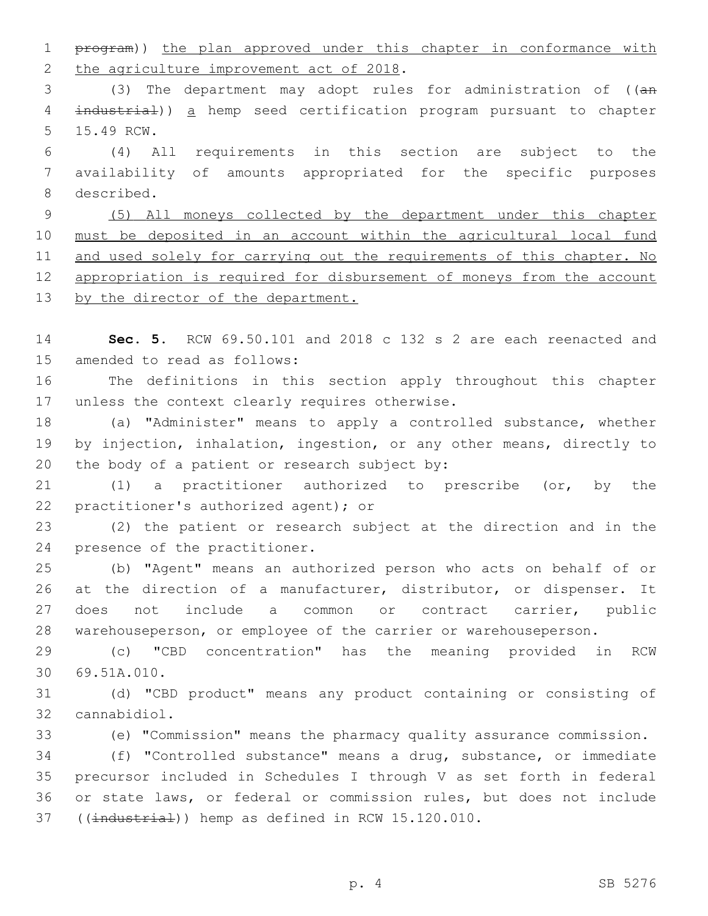program)) the plan approved under this chapter in conformance with 2 the agriculture improvement act of 2018.

 (3) The department may adopt rules for administration of ((an industrial)) a hemp seed certification program pursuant to chapter 5 15.49 RCW.

 (4) All requirements in this section are subject to the availability of amounts appropriated for the specific purposes 8 described.

 (5) All moneys collected by the department under this chapter must be deposited in an account within the agricultural local fund 11 and used solely for carrying out the requirements of this chapter. No appropriation is required for disbursement of moneys from the account 13 by the director of the department.

 **Sec. 5.** RCW 69.50.101 and 2018 c 132 s 2 are each reenacted and 15 amended to read as follows:

 The definitions in this section apply throughout this chapter 17 unless the context clearly requires otherwise.

 (a) "Administer" means to apply a controlled substance, whether by injection, inhalation, ingestion, or any other means, directly to 20 the body of a patient or research subject by:

 (1) a practitioner authorized to prescribe (or, by the 22 practitioner's authorized agent); or

 (2) the patient or research subject at the direction and in the 24 presence of the practitioner.

 (b) "Agent" means an authorized person who acts on behalf of or at the direction of a manufacturer, distributor, or dispenser. It does not include a common or contract carrier, public warehouseperson, or employee of the carrier or warehouseperson.

 (c) "CBD concentration" has the meaning provided in RCW 69.51A.010.30

 (d) "CBD product" means any product containing or consisting of 32 cannabidiol.

(e) "Commission" means the pharmacy quality assurance commission.

 (f) "Controlled substance" means a drug, substance, or immediate precursor included in Schedules I through V as set forth in federal or state laws, or federal or commission rules, but does not include 37 ((industrial)) hemp as defined in RCW 15.120.010.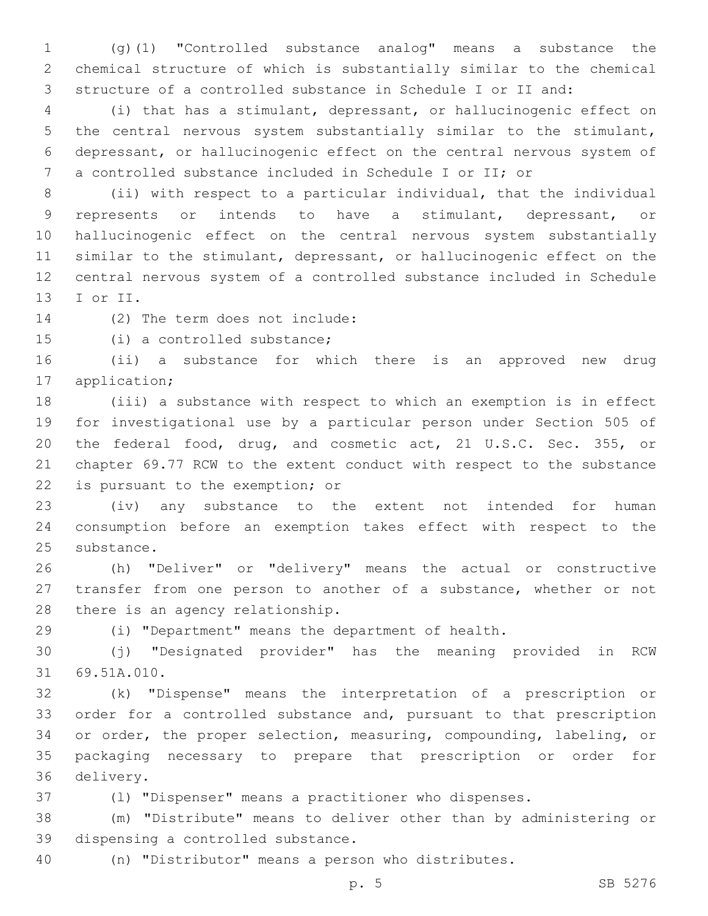(g)(1) "Controlled substance analog" means a substance the chemical structure of which is substantially similar to the chemical structure of a controlled substance in Schedule I or II and:

 (i) that has a stimulant, depressant, or hallucinogenic effect on the central nervous system substantially similar to the stimulant, depressant, or hallucinogenic effect on the central nervous system of a controlled substance included in Schedule I or II; or

 (ii) with respect to a particular individual, that the individual represents or intends to have a stimulant, depressant, or hallucinogenic effect on the central nervous system substantially similar to the stimulant, depressant, or hallucinogenic effect on the central nervous system of a controlled substance included in Schedule 13 I or II.

14 (2) The term does not include:

15 (i) a controlled substance;

 (ii) a substance for which there is an approved new drug 17 application;

 (iii) a substance with respect to which an exemption is in effect for investigational use by a particular person under Section 505 of the federal food, drug, and cosmetic act, 21 U.S.C. Sec. 355, or chapter 69.77 RCW to the extent conduct with respect to the substance 22 is pursuant to the exemption; or

 (iv) any substance to the extent not intended for human consumption before an exemption takes effect with respect to the 25 substance.

 (h) "Deliver" or "delivery" means the actual or constructive transfer from one person to another of a substance, whether or not 28 there is an agency relationship.

(i) "Department" means the department of health.

 (j) "Designated provider" has the meaning provided in RCW 31 69.51A.010.

 (k) "Dispense" means the interpretation of a prescription or order for a controlled substance and, pursuant to that prescription or order, the proper selection, measuring, compounding, labeling, or packaging necessary to prepare that prescription or order for 36 delivery.

(l) "Dispenser" means a practitioner who dispenses.

 (m) "Distribute" means to deliver other than by administering or 39 dispensing a controlled substance.

(n) "Distributor" means a person who distributes.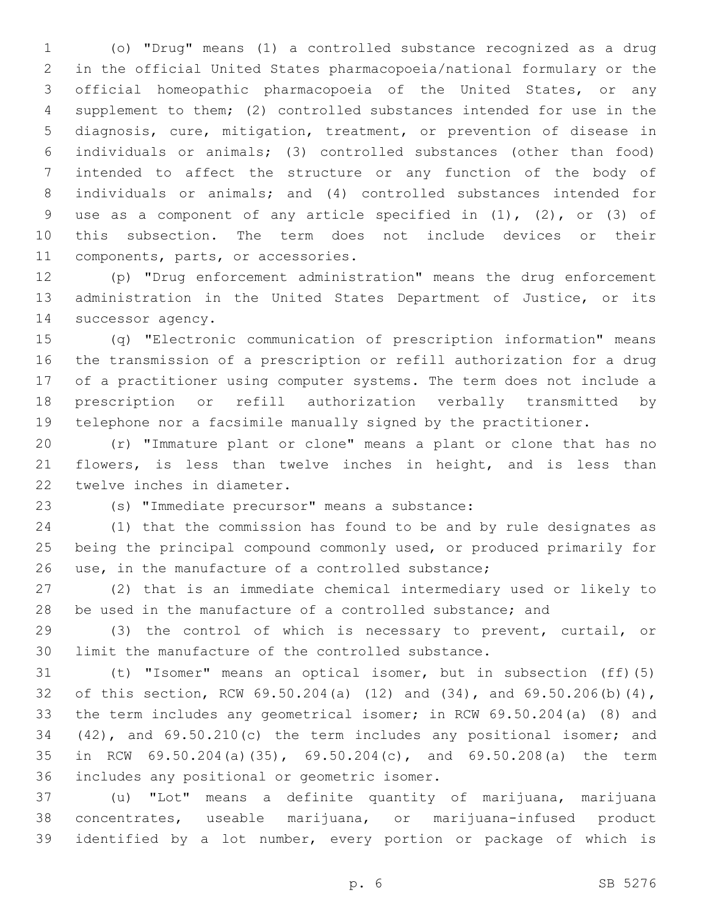(o) "Drug" means (1) a controlled substance recognized as a drug in the official United States pharmacopoeia/national formulary or the official homeopathic pharmacopoeia of the United States, or any supplement to them; (2) controlled substances intended for use in the diagnosis, cure, mitigation, treatment, or prevention of disease in individuals or animals; (3) controlled substances (other than food) intended to affect the structure or any function of the body of individuals or animals; and (4) controlled substances intended for use as a component of any article specified in (1), (2), or (3) of this subsection. The term does not include devices or their 11 components, parts, or accessories.

 (p) "Drug enforcement administration" means the drug enforcement administration in the United States Department of Justice, or its 14 successor agency.

 (q) "Electronic communication of prescription information" means the transmission of a prescription or refill authorization for a drug of a practitioner using computer systems. The term does not include a prescription or refill authorization verbally transmitted by telephone nor a facsimile manually signed by the practitioner.

 (r) "Immature plant or clone" means a plant or clone that has no flowers, is less than twelve inches in height, and is less than 22 twelve inches in diameter.

(s) "Immediate precursor" means a substance:23

 (1) that the commission has found to be and by rule designates as being the principal compound commonly used, or produced primarily for use, in the manufacture of a controlled substance;

 (2) that is an immediate chemical intermediary used or likely to 28 be used in the manufacture of a controlled substance; and

 (3) the control of which is necessary to prevent, curtail, or limit the manufacture of the controlled substance.

 (t) "Isomer" means an optical isomer, but in subsection (ff)(5) of this section, RCW 69.50.204(a) (12) and (34), and 69.50.206(b)(4), the term includes any geometrical isomer; in RCW 69.50.204(a) (8) and (42), and 69.50.210(c) the term includes any positional isomer; and in RCW 69.50.204(a)(35), 69.50.204(c), and 69.50.208(a) the term 36 includes any positional or geometric isomer.

 (u) "Lot" means a definite quantity of marijuana, marijuana concentrates, useable marijuana, or marijuana-infused product identified by a lot number, every portion or package of which is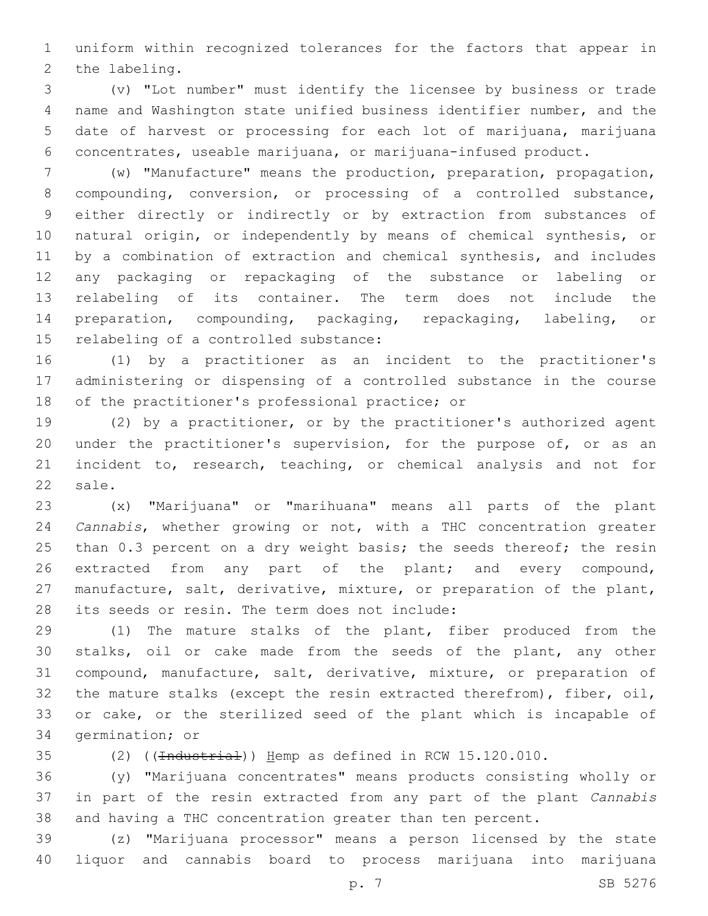uniform within recognized tolerances for the factors that appear in 2 the labeling.

 (v) "Lot number" must identify the licensee by business or trade name and Washington state unified business identifier number, and the date of harvest or processing for each lot of marijuana, marijuana concentrates, useable marijuana, or marijuana-infused product.

 (w) "Manufacture" means the production, preparation, propagation, compounding, conversion, or processing of a controlled substance, either directly or indirectly or by extraction from substances of natural origin, or independently by means of chemical synthesis, or by a combination of extraction and chemical synthesis, and includes any packaging or repackaging of the substance or labeling or relabeling of its container. The term does not include the preparation, compounding, packaging, repackaging, labeling, or 15 relabeling of a controlled substance:

 (1) by a practitioner as an incident to the practitioner's administering or dispensing of a controlled substance in the course 18 of the practitioner's professional practice; or

 (2) by a practitioner, or by the practitioner's authorized agent 20 under the practitioner's supervision, for the purpose of, or as an incident to, research, teaching, or chemical analysis and not for 22 sale.

 (x) "Marijuana" or "marihuana" means all parts of the plant *Cannabis*, whether growing or not, with a THC concentration greater 25 than 0.3 percent on a dry weight basis; the seeds thereof; the resin extracted from any part of the plant; and every compound, manufacture, salt, derivative, mixture, or preparation of the plant, 28 its seeds or resin. The term does not include:

 (1) The mature stalks of the plant, fiber produced from the stalks, oil or cake made from the seeds of the plant, any other compound, manufacture, salt, derivative, mixture, or preparation of the mature stalks (except the resin extracted therefrom), fiber, oil, or cake, or the sterilized seed of the plant which is incapable of 34 germination; or

(2) ((Industrial)) Hemp as defined in RCW 15.120.010.

 (y) "Marijuana concentrates" means products consisting wholly or in part of the resin extracted from any part of the plant *Cannabis* and having a THC concentration greater than ten percent.

 (z) "Marijuana processor" means a person licensed by the state liquor and cannabis board to process marijuana into marijuana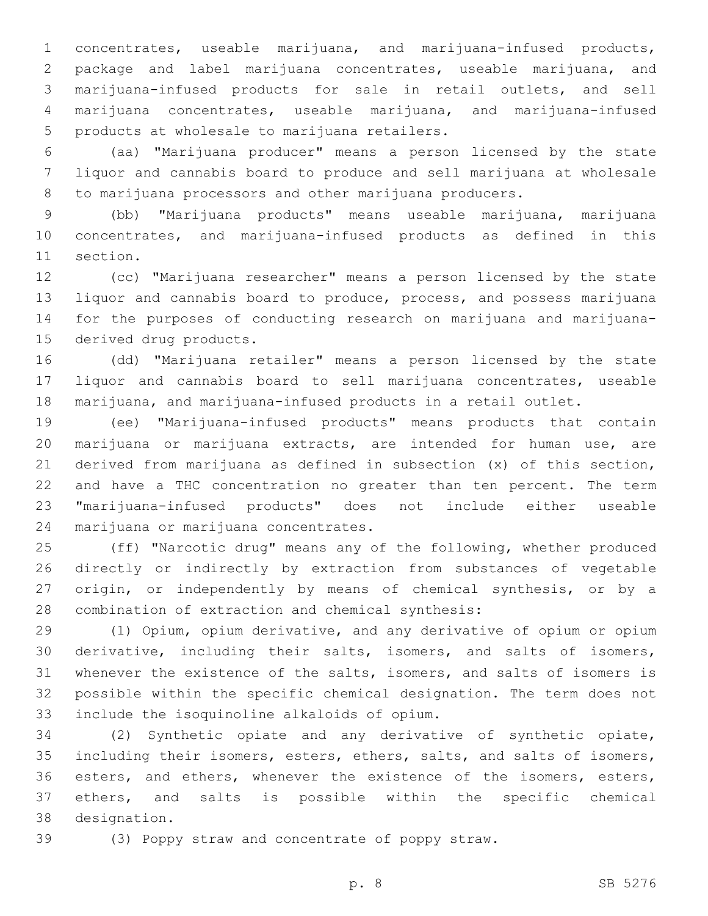concentrates, useable marijuana, and marijuana-infused products, package and label marijuana concentrates, useable marijuana, and marijuana-infused products for sale in retail outlets, and sell marijuana concentrates, useable marijuana, and marijuana-infused 5 products at wholesale to marijuana retailers.

 (aa) "Marijuana producer" means a person licensed by the state liquor and cannabis board to produce and sell marijuana at wholesale 8 to marijuana processors and other marijuana producers.

 (bb) "Marijuana products" means useable marijuana, marijuana concentrates, and marijuana-infused products as defined in this 11 section.

 (cc) "Marijuana researcher" means a person licensed by the state liquor and cannabis board to produce, process, and possess marijuana for the purposes of conducting research on marijuana and marijuana-15 derived drug products.

 (dd) "Marijuana retailer" means a person licensed by the state liquor and cannabis board to sell marijuana concentrates, useable marijuana, and marijuana-infused products in a retail outlet.

 (ee) "Marijuana-infused products" means products that contain marijuana or marijuana extracts, are intended for human use, are derived from marijuana as defined in subsection (x) of this section, and have a THC concentration no greater than ten percent. The term "marijuana-infused products" does not include either useable 24 marijuana or marijuana concentrates.

 (ff) "Narcotic drug" means any of the following, whether produced directly or indirectly by extraction from substances of vegetable origin, or independently by means of chemical synthesis, or by a 28 combination of extraction and chemical synthesis:

 (1) Opium, opium derivative, and any derivative of opium or opium derivative, including their salts, isomers, and salts of isomers, whenever the existence of the salts, isomers, and salts of isomers is possible within the specific chemical designation. The term does not 33 include the isoquinoline alkaloids of opium.

 (2) Synthetic opiate and any derivative of synthetic opiate, including their isomers, esters, ethers, salts, and salts of isomers, 36 esters, and ethers, whenever the existence of the isomers, esters, ethers, and salts is possible within the specific chemical designation.38

(3) Poppy straw and concentrate of poppy straw.

p. 8 SB 5276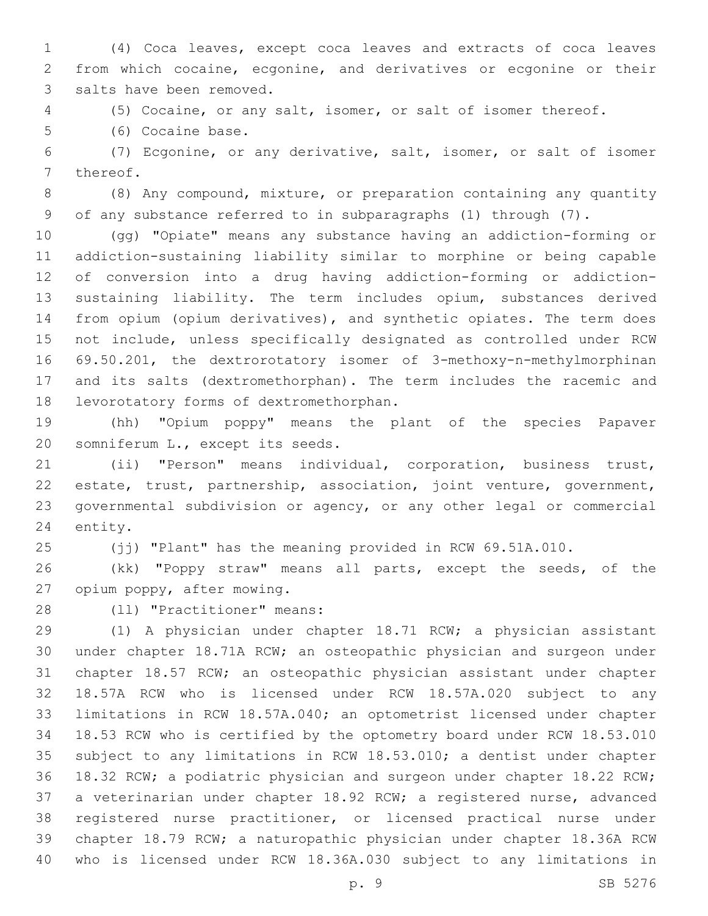(4) Coca leaves, except coca leaves and extracts of coca leaves from which cocaine, ecgonine, and derivatives or ecgonine or their 3 salts have been removed.

(5) Cocaine, or any salt, isomer, or salt of isomer thereof.

5 (6) Cocaine base.

 (7) Ecgonine, or any derivative, salt, isomer, or salt of isomer 7 thereof.

 (8) Any compound, mixture, or preparation containing any quantity of any substance referred to in subparagraphs (1) through (7).

 (gg) "Opiate" means any substance having an addiction-forming or addiction-sustaining liability similar to morphine or being capable of conversion into a drug having addiction-forming or addiction- sustaining liability. The term includes opium, substances derived from opium (opium derivatives), and synthetic opiates. The term does not include, unless specifically designated as controlled under RCW 69.50.201, the dextrorotatory isomer of 3-methoxy-n-methylmorphinan and its salts (dextromethorphan). The term includes the racemic and 18 levorotatory forms of dextromethorphan.

 (hh) "Opium poppy" means the plant of the species Papaver 20 somniferum L., except its seeds.

 (ii) "Person" means individual, corporation, business trust, estate, trust, partnership, association, joint venture, government, governmental subdivision or agency, or any other legal or commercial 24 entity.

(jj) "Plant" has the meaning provided in RCW 69.51A.010.

 (kk) "Poppy straw" means all parts, except the seeds, of the 27 opium poppy, after mowing.

28 (11) "Practitioner" means:

 (1) A physician under chapter 18.71 RCW; a physician assistant under chapter 18.71A RCW; an osteopathic physician and surgeon under chapter 18.57 RCW; an osteopathic physician assistant under chapter 18.57A RCW who is licensed under RCW 18.57A.020 subject to any limitations in RCW 18.57A.040; an optometrist licensed under chapter 18.53 RCW who is certified by the optometry board under RCW 18.53.010 subject to any limitations in RCW 18.53.010; a dentist under chapter 18.32 RCW; a podiatric physician and surgeon under chapter 18.22 RCW; a veterinarian under chapter 18.92 RCW; a registered nurse, advanced registered nurse practitioner, or licensed practical nurse under chapter 18.79 RCW; a naturopathic physician under chapter 18.36A RCW who is licensed under RCW 18.36A.030 subject to any limitations in

p. 9 SB 5276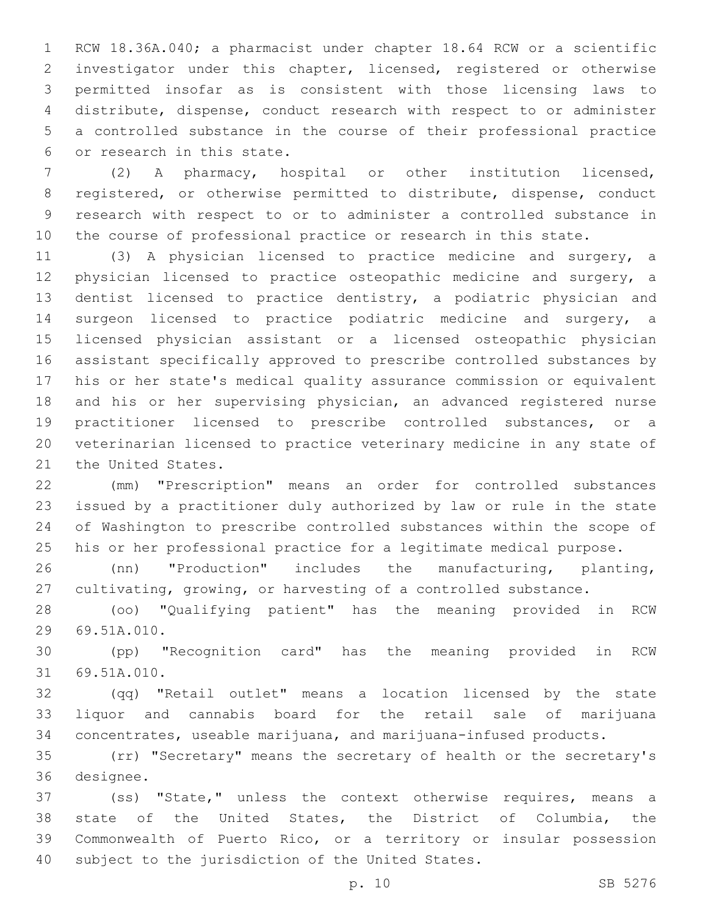RCW 18.36A.040; a pharmacist under chapter 18.64 RCW or a scientific investigator under this chapter, licensed, registered or otherwise permitted insofar as is consistent with those licensing laws to distribute, dispense, conduct research with respect to or administer a controlled substance in the course of their professional practice 6 or research in this state.

 (2) A pharmacy, hospital or other institution licensed, registered, or otherwise permitted to distribute, dispense, conduct research with respect to or to administer a controlled substance in the course of professional practice or research in this state.

 (3) A physician licensed to practice medicine and surgery, a physician licensed to practice osteopathic medicine and surgery, a dentist licensed to practice dentistry, a podiatric physician and surgeon licensed to practice podiatric medicine and surgery, a licensed physician assistant or a licensed osteopathic physician assistant specifically approved to prescribe controlled substances by his or her state's medical quality assurance commission or equivalent and his or her supervising physician, an advanced registered nurse practitioner licensed to prescribe controlled substances, or a veterinarian licensed to practice veterinary medicine in any state of 21 the United States.

 (mm) "Prescription" means an order for controlled substances issued by a practitioner duly authorized by law or rule in the state of Washington to prescribe controlled substances within the scope of his or her professional practice for a legitimate medical purpose.

 (nn) "Production" includes the manufacturing, planting, cultivating, growing, or harvesting of a controlled substance.

 (oo) "Qualifying patient" has the meaning provided in RCW 29 69.51A.010.

 (pp) "Recognition card" has the meaning provided in RCW 31 69.51A.010.

 (qq) "Retail outlet" means a location licensed by the state liquor and cannabis board for the retail sale of marijuana concentrates, useable marijuana, and marijuana-infused products.

 (rr) "Secretary" means the secretary of health or the secretary's 36 designee.

 (ss) "State," unless the context otherwise requires, means a state of the United States, the District of Columbia, the Commonwealth of Puerto Rico, or a territory or insular possession 40 subject to the jurisdiction of the United States.